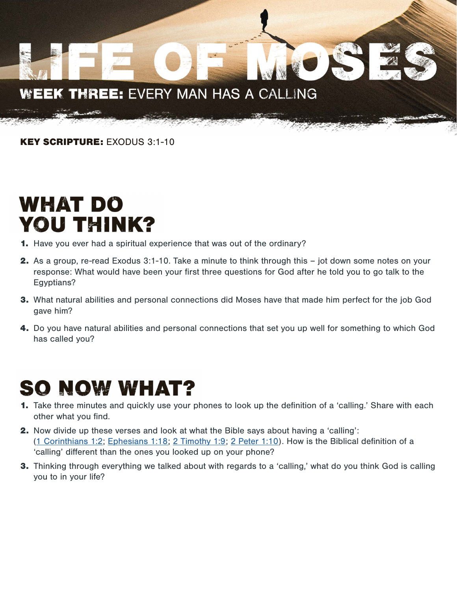#### EK THREE: EVERY MAN HAS A CALLING WE

KEY SCRIPTURE: EXODUS 3:1-10

## WHAT DO YOU THINK?

- 1. Have you ever had a spiritual experience that was out of the ordinary?
- 2. As a group, re-read Exodus 3:1-10. Take a minute to think through this jot down some notes on your response: What would have been your first three questions for God after he told you to go talk to the Egyptians?
- 3. What natural abilities and personal connections did Moses have that made him perfect for the job God gave him?
- 4. Do you have natural abilities and personal connections that set you up well for something to which God has called you?

### **SO NOW WHAT?**

- 1. Take three minutes and quickly use your phones to look up the definition of a 'calling.' Share with each other what you find.
- 2. Now divide up these verses and look at what the Bible says about having a 'calling': [\(1 Corinthians 1:2](https://biblia.com/bible/esv/1-corinthians/1/2); [Ephesians 1:18](https://biblia.com/bible/esv/ephesians/1/18); [2 Timothy 1:9;](https://biblia.com/bible/esv/2-timothy/1/9) [2 Peter 1:10](https://biblia.com/bible/esv/2-peter/1/10)). How is the Biblical definition of a 'calling' different than the ones you looked up on your phone?
- 3. Thinking through everything we talked about with regards to a 'calling,' what do you think God is calling you to in your life?